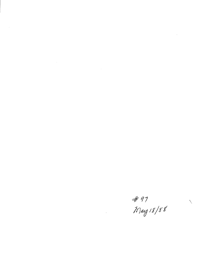# 97<br>Marz 18/88

 $\mathcal{L}^{\text{max}}_{\text{max}}$  , where  $\mathcal{L}^{\text{max}}_{\text{max}}$ 

 $\mathcal{L}^{\text{max}}_{\text{max}}$ 

 $\label{eq:2.1} \frac{1}{\sqrt{2}}\int_{\mathbb{R}^3}\frac{1}{\sqrt{2}}\left(\frac{1}{\sqrt{2}}\right)^2\frac{1}{\sqrt{2}}\left(\frac{1}{\sqrt{2}}\right)^2\frac{1}{\sqrt{2}}\left(\frac{1}{\sqrt{2}}\right)^2.$ 

 $\label{eq:2.1} \frac{1}{2} \sum_{i=1}^n \frac{1}{2} \sum_{j=1}^n \frac{1}{2} \sum_{j=1}^n \frac{1}{2} \sum_{j=1}^n \frac{1}{2} \sum_{j=1}^n \frac{1}{2} \sum_{j=1}^n \frac{1}{2} \sum_{j=1}^n \frac{1}{2} \sum_{j=1}^n \frac{1}{2} \sum_{j=1}^n \frac{1}{2} \sum_{j=1}^n \frac{1}{2} \sum_{j=1}^n \frac{1}{2} \sum_{j=1}^n \frac{1}{2} \sum_{j=1}^n \frac{$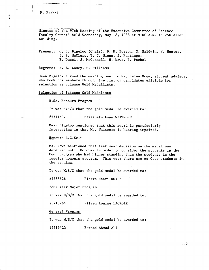P. Pachol

Minutes of the 97th Meeting of the Executive Committee of Science Faculty Council held Wednesday, May 18, 1988 at 9:00 a.m. in 250 Allen Building.

Present: C. C. Bigelow (Chair), D. N. Burton, G. Baldwin, N. Hunter, J. P. McClure, T. J. Wiens, J. Hastings; P. Dueck, J. McConnell, H. Rowe, P. Pachol

Regrets: N. E. Losey, H. Williams

Dean Bigelow turned the meeting over to Ms. Helen Rowe, student advisor, who took the members through the list of candidates eligible for selection as Science Gold Medallists.

Selection of Science Gold Medalists

B.Sc. Honours Program

It was M/S/C that the gold medal be awarded to:

#5711537 Elizabeth Lynn WHITMORE

Dean Bigelow mentioned that this award is particularly interesting in that Ms. Whitmore is hearing impaired.

Honours B.C.Sc.-

Ms. Rowe mentioned that last year decision on the medal was deferred until October in order to consider the students in the Coop program who had higher standing than the students in the regular honours program. This year there are no Coop students in the running.

It was M/S/C that the gold medal be awarded to:

#5736626 Pierre Henri DOYLE

Four Year Major Program

It was M/S/C that the gold medal be awarded to:

#5715264 Eileen Louise LACROIX

General Program

It was M/S/C that the gold medal be awarded to:

#5719423 Fareed Ahmad ALl

 $-2$